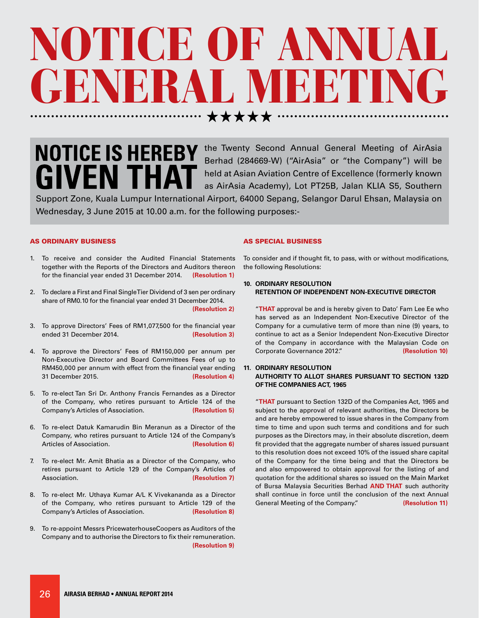## OTICE OF ANNUA RAL MEETI . . . . . . . . . . . . . . . . . . .

# **NOTICE IS HEREBY GIVEN TH**

the Twenty Second Annual General Meeting of AirAsia Berhad (284669-W) ("AirAsia" or "the Company") will be held at Asian Aviation Centre of Excellence (formerly known as AirAsia Academy), Lot PT25B, Jalan KLIA S5, Southern

Support Zone, Kuala Lumpur International Airport, 64000 Sepang, Selangor Darul Ehsan, Malaysia on Wednesday, 3 June 2015 at 10.00 a.m. for the following purposes:-

## AS ORDINARY BUSINESS

- 1. To receive and consider the Audited Financial Statements together with the Reports of the Directors and Auditors thereon for the financial year ended 31 December 2014. **(Resolution 1)**
- 2. To declare a First and Final Single Tier Dividend of 3 sen per ordinary share of RM0.10 for the financial year ended 31 December 2014. **(Resolution 2)**
- 3. To approve Directors' Fees of RM1,077,500 for the financial year ended 31 December 2014. **(Resolution 3)**
- 4. To approve the Directors' Fees of RM150,000 per annum per Non-Executive Director and Board Committees Fees of up to RM450,000 per annum with effect from the financial year ending 31 December 2015. **(Resolution 4)**
- 5. To re-elect Tan Sri Dr. Anthony Francis Fernandes as a Director of the Company, who retires pursuant to Article 124 of the Company's Articles of Association. **(Resolution 5)**
- 6. To re-elect Datuk Kamarudin Bin Meranun as a Director of the Company, who retires pursuant to Article 124 of the Company's Articles of Association. **(Resolution 6)**
- 7. To re-elect Mr. Amit Bhatia as a Director of the Company, who retires pursuant to Article 129 of the Company's Articles of Association. **(Resolution 7)**
- 8. To re-elect Mr. Uthaya Kumar A/L K Vivekananda as a Director of the Company, who retires pursuant to Article 129 of the Company's Articles of Association. **(Resolution 8)**
- 9. To re-appoint Messrs PricewaterhouseCoopers as Auditors of the Company and to authorise the Directors to fix their remuneration. **(Resolution 9)**

## AS SPECIAL BUSINESS

To consider and if thought fit, to pass, with or without modifications, the following Resolutions:

## **10. ORDINARY RESOLUTION RETENTION OF INDEPENDENT NON-EXECUTIVE DIRECTOR**

"**THAT** approval be and is hereby given to Dato' Fam Lee Ee who has served as an Independent Non-Executive Director of the Company for a cumulative term of more than nine (9) years, to continue to act as a Senior Independent Non-Executive Director of the Company in accordance with the Malaysian Code on Corporate Governance 2012." **(Resolution 10)**

## **11. ORDINARY RESOLUTION AUTHORITY TO ALLOT SHARES PURSUANT TO SECTION 132D OF THE COMPANIES ACT, 1965**

"**THAT** pursuant to Section 132D of the Companies Act, 1965 and subject to the approval of relevant authorities, the Directors be and are hereby empowered to issue shares in the Company from time to time and upon such terms and conditions and for such purposes as the Directors may, in their absolute discretion, deem fit provided that the aggregate number of shares issued pursuant to this resolution does not exceed 10% of the issued share capital of the Company for the time being and that the Directors be and also empowered to obtain approval for the listing of and quotation for the additional shares so issued on the Main Market of Bursa Malaysia Securities Berhad **AND THAT** such authority shall continue in force until the conclusion of the next Annual General Meeting of the Company." **(Resolution 11)**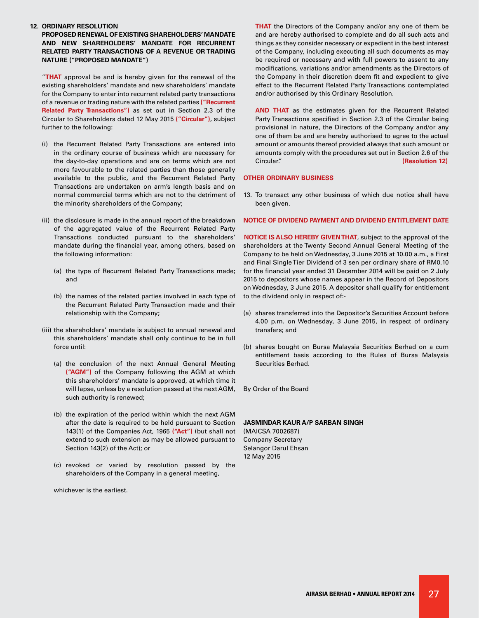#### **12. ORDINARY RESOLUTION**

**PROPOSED RENEWAL OF EXISTING SHAREHOLDERS' MANDATE AND NEW SHAREHOLDERS' MANDATE FOR RECURRENT RELATED PARTY TRANSACTIONS OF A REVENUE OR TRADING NATURE ("PROPOSED MANDATE")**

"**THAT** approval be and is hereby given for the renewal of the existing shareholders' mandate and new shareholders' mandate for the Company to enter into recurrent related party transactions of a revenue or trading nature with the related parties **("Recurrent Related Party Transactions")** as set out in Section 2.3 of the Circular to Shareholders dated 12 May 2015 **("Circular")**, subject further to the following:

- (i) the Recurrent Related Party Transactions are entered into in the ordinary course of business which are necessary for the day-to-day operations and are on terms which are not more favourable to the related parties than those generally available to the public, and the Recurrent Related Party Transactions are undertaken on arm's length basis and on normal commercial terms which are not to the detriment of the minority shareholders of the Company;
- (ii) the disclosure is made in the annual report of the breakdown of the aggregated value of the Recurrent Related Party Transactions conducted pursuant to the shareholders' mandate during the financial year, among others, based on the following information:
	- (a) the type of Recurrent Related Party Transactions made; and
	- (b) the names of the related parties involved in each type of the Recurrent Related Party Transaction made and their relationship with the Company;
- (iii) the shareholders' mandate is subject to annual renewal and this shareholders' mandate shall only continue to be in full force until:
	- (a) the conclusion of the next Annual General Meeting **("AGM")** of the Company following the AGM at which this shareholders' mandate is approved, at which time it will lapse, unless by a resolution passed at the next AGM, such authority is renewed;
	- (b) the expiration of the period within which the next AGM after the date is required to be held pursuant to Section 143(1) of the Companies Act, 1965 **("Act")** (but shall not extend to such extension as may be allowed pursuant to Section 143(2) of the Act); or
	- (c) revoked or varied by resolution passed by the shareholders of the Company in a general meeting,

whichever is the earliest.

**THAT** the Directors of the Company and/or any one of them be and are hereby authorised to complete and do all such acts and things as they consider necessary or expedient in the best interest of the Company, including executing all such documents as may be required or necessary and with full powers to assent to any modifications, variations and/or amendments as the Directors of the Company in their discretion deem fit and expedient to give effect to the Recurrent Related Party Transactions contemplated and/or authorised by this Ordinary Resolution.

**AND THAT** as the estimates given for the Recurrent Related Party Transactions specified in Section 2.3 of the Circular being provisional in nature, the Directors of the Company and/or any one of them be and are hereby authorised to agree to the actual amount or amounts thereof provided always that such amount or amounts comply with the procedures set out in Section 2.6 of the Circular." **(Resolution 12)**

#### **OTHER ORDINARY BUSINESS**

13. To transact any other business of which due notice shall have been given.

#### **NOTICE OF DIVIDEND PAYMENT AND DIVIDEND ENTITLEMENT DATE**

**NOTICE IS ALSO HEREBY GIVEN THAT**, subject to the approval of the shareholders at the Twenty Second Annual General Meeting of the Company to be held on Wednesday, 3 June 2015 at 10.00 a.m., a First and Final Single Tier Dividend of 3 sen per ordinary share of RM0.10 for the financial year ended 31 December 2014 will be paid on 2 July 2015 to depositors whose names appear in the Record of Depositors on Wednesday, 3 June 2015. A depositor shall qualify for entitlement to the dividend only in respect of:-

- (a) shares transferred into the Depositor's Securities Account before 4.00 p.m. on Wednesday, 3 June 2015, in respect of ordinary transfers; and
- (b) shares bought on Bursa Malaysia Securities Berhad on a cum entitlement basis according to the Rules of Bursa Malaysia Securities Berhad.

By Order of the Board

## **JASMINDAR KAUR A/P SARBAN SINGH**

(MAICSA 7002687) Company Secretary Selangor Darul Ehsan 12 May 2015